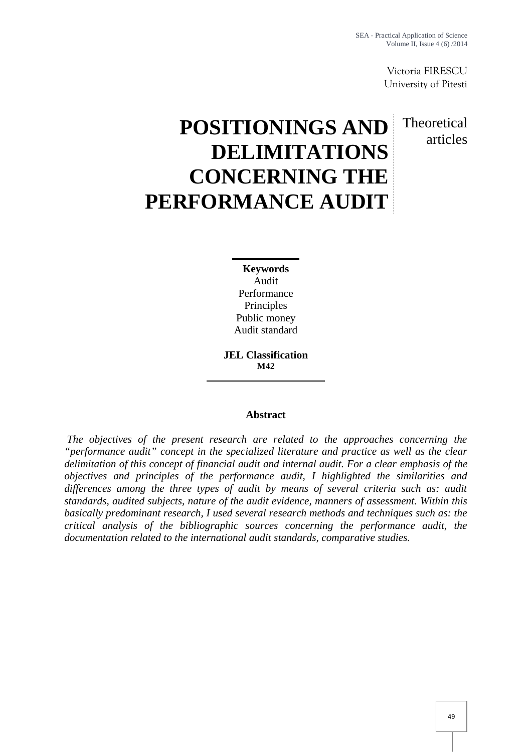Victoria FIRESCU University of Pitesti

Theoretical

articles

# **POSITIONINGS AND DELIMITATIONS CONCERNING THE PERFORMANCE AUDIT**

**Keywords** Audit Performance Principles Public money Audit standard

**JEL Classification M42**

# **Abstract**

*The objectives of the present research are related to the approaches concerning the "performance audit" concept in the specialized literature and practice as well as the clear delimitation of this concept of financial audit and internal audit. For a clear emphasis of the objectives and principles of the performance audit, I highlighted the similarities and differences among the three types of audit by means of several criteria such as: audit standards, audited subjects, nature of the audit evidence, manners of assessment. Within this basically predominant research, I used several research methods and techniques such as: the critical analysis of the bibliographic sources concerning the performance audit, the documentation related to the international audit standards, comparative studies.*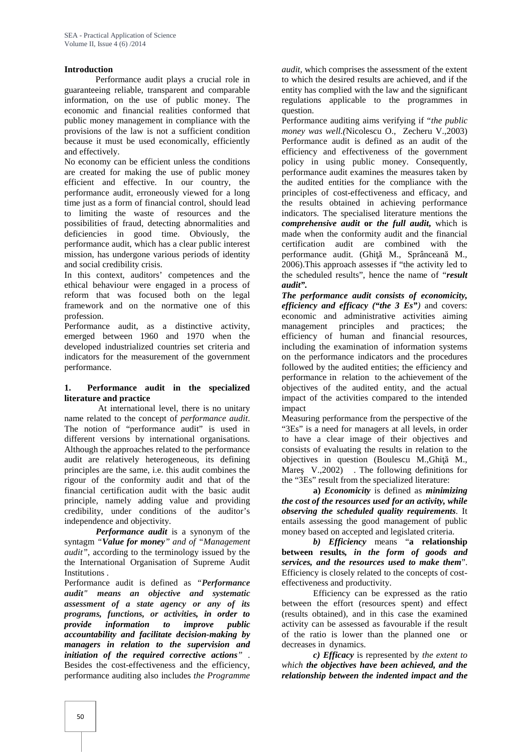## **Introduction**

Performance audit plays a crucial role in guaranteeing reliable, transparent and comparable information, on the use of public money. The economic and financial realities conformed that public money management in compliance with the provisions of the law is not a sufficient condition because it must be used economically, efficiently and effectively.

No economy can be efficient unless the conditions are created for making the use of public money efficient and effective. In our country, the performance audit, erroneously viewed for a long time just as a form of financial control, should lead to limiting the waste of resources and the possibilities of fraud, detecting abnormalities and deficiencies in good time. Obviously, the performance audit, which has a clear public interest mission, has undergone various periods of identity and social credibility crisis.

In this context, auditors' competences and the ethical behaviour were engaged in a process of reform that was focused both on the legal framework and on the normative one of this profession.

Performance audit, as a distinctive activity, emerged between 1960 and 1970 when the developed industrialized countries set criteria and indicators for the measurement of the government performance.

## **1. Performance audit in the specialized literature and practice**

At international level, there is no unitary name related to the concept of *performance audit*. The notion of "performance audit" is used in different versions by international organisations. Although the approaches related to the performance audit are relatively heterogeneous, its defining principles are the same, i.e. this audit combines the rigour of the conformity audit and that of the financial certification audit with the basic audit principle, namely adding value and providing credibility, under conditions of the auditor's independence and objectivity.

*Performance audit* is a synonym of the syntagm *"Value for money" and of "Management audit"*, according to the terminology issued by the the International Organisation of Supreme Audit Institutions .

Performance audit is defined as *"Performance audit" means an objective and systematic assessment of a state agency or any of its programs, functions, or activities, in order to provide information to improve public accountability and facilitate decision-making by managers in relation to the supervision and initiation of the required corrective actions"* . Besides the cost-effectiveness and the efficiency, performance auditing also includes *the Programme*

*audit,* which comprises the assessment of the extent to which the desired results are achieved, and if the entity has complied with the law and the significant regulations applicable to the programmes in question.

Performance auditing aims verifying if "*the public money was well.(*Nicolescu O., Zecheru V.,2003) Performance audit is defined as an audit of the efficiency and effectiveness of the government policy in using public money. Consequently, performance audit examines the measures taken by the audited entities for the compliance with the principles of cost-effectiveness and efficacy, and the results obtained in achieving performance indicators. The specialised literature mentions the *comprehensive audit* **or** *the full audit***,** which is made when the conformity audit and the financial certification audit are combined with the performance audit. (Ghi M., Sprâncean M., 2006).This approach assesses if "the activity led to the scheduled results", hence the name of "*result audit".*

*The performance audit consists of economicity, efficiency and efficacy ("the 3 Es")* and covers: economic and administrative activities aiming management principles and practices; the efficiency of human and financial resources, including the examination of information systems on the performance indicators and the procedures followed by the audited entities; the efficiency and performance in relation to the achievement of the objectives of the audited entity, and the actual impact of the activities compared to the intended impact

Measuring performance from the perspective of the "3Es" is a need for managers at all levels, in order to have a clear image of their objectives and consists of evaluating the results in relation to the objectives in question (Boulescu M., Ghi M., Mare  $V.,2002)$  . The following definitions for the "3Es" result from the specialized literature:

**a)** *Economicity* is defined as *minimizing the cost of the resources used for an activity, while observing the scheduled quality requirements*. It entails assessing the good management of public money based on accepted and legislated criteria.

*b) Efficiency* means "**a relationship between results***, in the form of goods and services, and the resources used to make them*". Efficiency is closely related to the concepts of cost effectiveness and productivity.

Efficiency can be expressed as the ratio between the effort (resources spent) and effect (results obtained), and in this case the examined activity can be assessed as favourable if the result of the ratio is lower than the planned one or decreases in dynamics.

*c) Efficacy* is represented by *the extent to which the objectives have been achieved, and the relationship between the indented impact and the*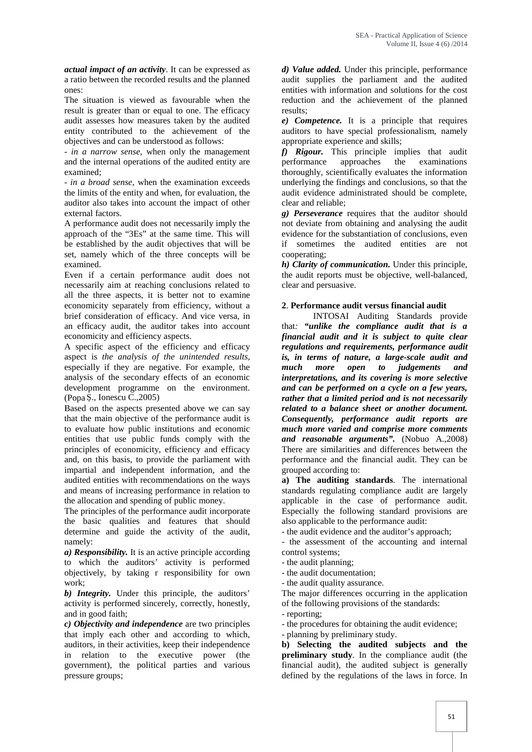*actual impact of an activity*. It can be expressed as a ratio between the recorded results and the planned ones:

The situation is viewed as favourable when the result is greater than or equal to one. The efficacy audit assesses how measures taken by the audited entity contributed to the achievement of the objectives and can be understood as follows:

- *in a narrow sense*, when only the management and the internal operations of the audited entity are examined;

- *in a broad sense*, when the examination exceeds the limits of the entity and when, for evaluation, the auditor also takes into account the impact of other external factors.

A performance audit does not necessarily imply the approach of the "3Es" at the same time. This will be established by the audit objectives that will be set, namely which of the three concepts will be examined.

Even if a certain performance audit does not necessarily aim at reaching conclusions related to all the three aspects, it is better not to examine economicity separately from efficiency, without a brief consideration of efficacy. And vice versa, in an efficacy audit, the auditor takes into account economicity and efficiency aspects.

A specific aspect of the efficiency and efficacy aspect is *the analysis of the unintended results*, especially if they are negative. For example, the analysis of the secondary effects of an economic development programme on the environment.  $(Popa \dots$  Ionescu C., 2005)

Based on the aspects presented above we can say that the main objective of the performance audit is to evaluate how public institutions and economic entities that use public funds comply with the principles of economicity, efficiency and efficacy and, on this basis, to provide the parliament with impartial and independent information, and the audited entities with recommendations on the ways and means of increasing performance in relation to the allocation and spending of public money.

The principles of the performance audit incorporate the basic qualities and features that should determine and guide the activity of the audit, namely:

*a) Responsibility.* It is an active principle according to which the auditors' activity is performed objectively, by taking r responsibility for own work;

*b) Integrity.* Under this principle, the auditors' activity is performed sincerely, correctly, honestly, and in good faith;

*c) Objectivity and independence* are two principles that imply each other and according to which, auditors, in their activities, keep their independence in relation to the executive power (the government), the political parties and various pressure groups;

*d) Value added.* Under this principle, performance audit supplies the parliament and the audited entities with information and solutions for the cost reduction and the achievement of the planned results;

*e) Competence.* It is a principle that requires auditors to have special professionalism, namely appropriate experience and skills;

*f) Rigour.* This principle implies that audit performance approaches the examinations thoroughly, scientifically evaluates the information underlying the findings and conclusions, so that the audit evidence administrated should be complete, clear and reliable;

*g) Perseverance* requires that the auditor should not deviate from obtaining and analysing the audit evidence for the substantiation of conclusions, even if sometimes the audited entities are not cooperating;

*h) Clarity of communication.* Under this principle, the audit reports must be objective, well-balanced, clear and persuasive.

# **2**. **Performance audit versus financial audit**

INTOSAI Auditing Standards provide that*: "unlike the compliance audit that is a financial audit and it is subject to quite clear regulations and requirements, performance audit is, in terms of nature, a large-scale audit and much more open to judgements and interpretations, and its covering is more selective and can be performed on a cycle on a few years, rather that a limited period and is not necessarily related to a balance sheet or another document. Consequently, performance audit reports are much more varied and comprise more comments and reasonable arguments".* (Nobuo A.,2008) There are similarities and differences between the performance and the financial audit. They can be grouped according to:

**a) The auditing standards**. The international standards regulating compliance audit are largely applicable in the case of performance audit. Especially the following standard provisions are also applicable to the performance audit:

- the audit evidence and the auditor's approach;

- the assessment of the accounting and internal control systems;

- the audit planning;

- the audit documentation;

- the audit quality assurance.

The major differences occurring in the application of the following provisions of the standards:

- reporting;

- the procedures for obtaining the audit evidence;

- planning by preliminary study.

**b) Selecting the audited subjects and the preliminary study**. In the compliance audit (the financial audit), the audited subject is generally defined by the regulations of the laws in force. In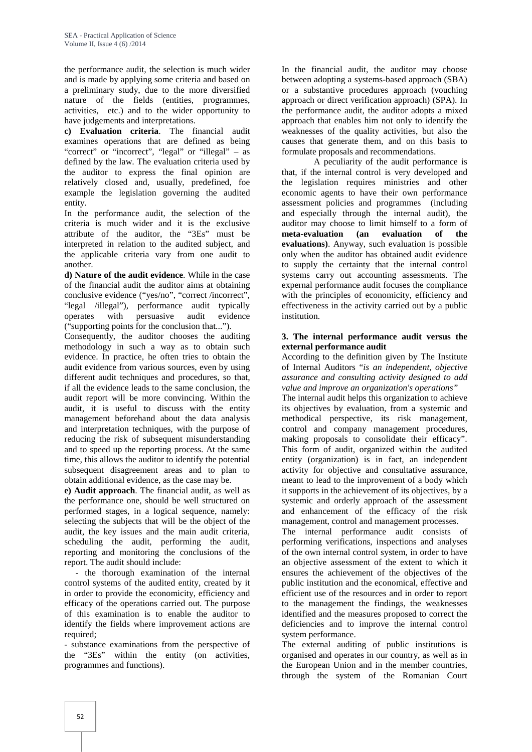the performance audit, the selection is much wider and is made by applying some criteria and based on a preliminary study, due to the more diversified nature of the fields (entities, programmes, activities, etc.) and to the wider opportunity to have judgements and interpretations.

**c) Evaluation criteria**. The financial audit examines operations that are defined as being "correct" or "incorrect", "legal" or "illegal" – as defined by the law. The evaluation criteria used by the auditor to express the final opinion are relatively closed and, usually, predefined, foe example the legislation governing the audited entity.

In the performance audit, the selection of the criteria is much wider and it is the exclusive attribute of the auditor, the "3Es" must be interpreted in relation to the audited subject, and the applicable criteria vary from one audit to another.

**d) Nature of the audit evidence**. While in the case of the financial audit the auditor aims at obtaining conclusive evidence ("yes/no", "correct /incorrect", "legal /illegal"), performance audit typically operates with persuasive audit evidence ("supporting points for the conclusion that...").

Consequently, the auditor chooses the auditing methodology in such a way as to obtain such evidence. In practice, he often tries to obtain the audit evidence from various sources, even by using different audit techniques and procedures, so that, if all the evidence leads to the same conclusion, the audit report will be more convincing. Within the audit, it is useful to discuss with the entity management beforehand about the data analysis and interpretation techniques, with the purpose of reducing the risk of subsequent misunderstanding and to speed up the reporting process. At the same time, this allows the auditor to identify the potential subsequent disagreement areas and to plan to obtain additional evidence, as the case may be.

**e) Audit approach**. The financial audit, as well as the performance one, should be well structured on performed stages, in a logical sequence, namely: selecting the subjects that will be the object of the audit, the key issues and the main audit criteria, scheduling the audit, performing the audit, reporting and monitoring the conclusions of the report. The audit should include:

- the thorough examination of the internal control systems of the audited entity, created by it in order to provide the economicity, efficiency and efficacy of the operations carried out. The purpose of this examination is to enable the auditor to identify the fields where improvement actions are required:

- substance examinations from the perspective of the "3Es" within the entity (on activities, programmes and functions).

In the financial audit, the auditor may choose between adopting a systems-based approach (SBA) or a substantive procedures approach (vouching approach or direct verification approach) (SPA). In the performance audit, the auditor adopts a mixed approach that enables him not only to identify the weaknesses of the quality activities, but also the causes that generate them, and on this basis to formulate proposals and recommendations.

A peculiarity of the audit performance is that, if the internal control is very developed and the legislation requires ministries and other economic agents to have their own performance assessment policies and programmes (including and especially through the internal audit), the auditor may choose to limit himself to a form of **meta-evaluation (an evaluation of the evaluations)**. Anyway, such evaluation is possible only when the auditor has obtained audit evidence to supply the certainty that the internal control systems carry out accounting assessments. The expernal performance audit focuses the compliance with the principles of economicity, efficiency and effectiveness in the activity carried out by a public institution.

## **3. The internal performance audit versus the external performance audit**

According to the definition given by The Institute of Internal Auditors "*is an independent, objective assurance and consulting activity designed to add value and improve an organization's operations"*

The internal audit helps this organization to achieve its objectives by evaluation, from a systemic and methodical perspective, its risk management, control and company management procedures, making proposals to consolidate their efficacy". This form of audit, organized within the audited entity (organization) is in fact, an independent activity for objective and consultative assurance, meant to lead to the improvement of a body which it supports in the achievement of its objectives, by a systemic and orderly approach of the assessment and enhancement of the efficacy of the risk management, control and management processes.

The internal performance audit consists of performing verifications, inspections and analyses of the own internal control system, in order to have an objective assessment of the extent to which it ensures the achievement of the objectives of the public institution and the economical, effective and efficient use of the resources and in order to report to the management the findings, the weaknesses identified and the measures proposed to correct the deficiencies and to improve the internal control system performance.

The external auditing of public institutions is organised and operates in our country, as well as in the European Union and in the member countries, through the system of the Romanian Court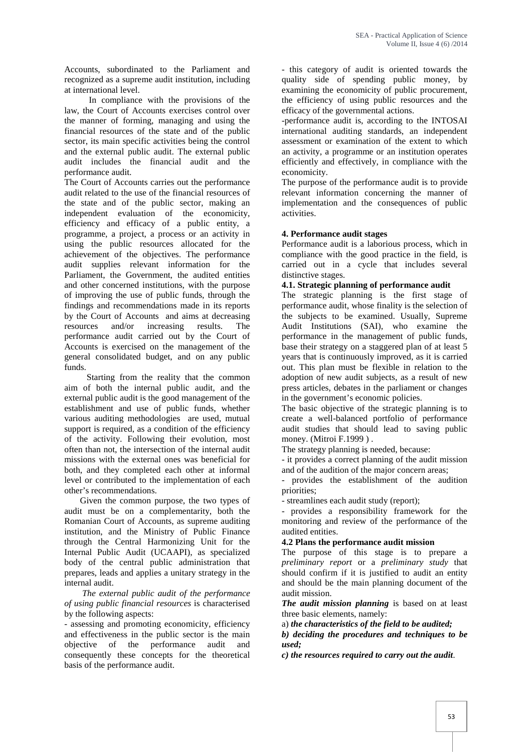Accounts, subordinated to the Parliament and recognized as a supreme audit institution, including at international level.

In compliance with the provisions of the law, the Court of Accounts exercises control over the manner of forming, managing and using the financial resources of the state and of the public sector, its main specific activities being the control and the external public audit. The external public audit includes the financial audit and the performance audit.

The Court of Accounts carries out the performance audit related to the use of the financial resources of the state and of the public sector, making an independent evaluation of the economicity, efficiency and efficacy of a public entity, a programme, a project, a process or an activity in using the public resources allocated for the achievement of the objectives. The performance audit supplies relevant information for the Parliament, the Government, the audited entities and other concerned institutions, with the purpose of improving the use of public funds, through the findings and recommendations made in its reports by the Court of Accounts and aims at decreasing resources and/or increasing results. The performance audit carried out by the Court of Accounts is exercised on the management of the general consolidated budget, and on any public funds.

Starting from the reality that the common aim of both the internal public audit, and the external public audit is the good management of the establishment and use of public funds, whether various auditing methodologies are used, mutual support is required, as a condition of the efficiency of the activity. Following their evolution, most often than not, the intersection of the internal audit missions with the external ones was beneficial for both, and they completed each other at informal level or contributed to the implementation of each other's recommendations.

Given the common purpose, the two types of audit must be on a complementarity, both the Romanian Court of Accounts, as supreme auditing institution, and the Ministry of Public Finance through the Central Harmonizing Unit for the Internal Public Audit (UCAAPI), as specialized body of the central public administration that prepares, leads and applies a unitary strategy in the internal audit.

*The external public audit of the performance of using public financial resources* is characterised by the following aspects:

- assessing and promoting economicity, efficiency and effectiveness in the public sector is the main objective of the performance audit and consequently these concepts for the theoretical basis of the performance audit.

- this category of audit is oriented towards the quality side of spending public money, by examining the economicity of public procurement, the efficiency of using public resources and the efficacy of the governmental actions.

-performance audit is, according to the INTOSAI international auditing standards, an independent assessment or examination of the extent to which an activity, a programme or an institution operates efficiently and effectively, in compliance with the economicity.

The purpose of the performance audit is to provide relevant information concerning the manner of implementation and the consequences of public activities.

# **4. Performance audit stages**

Performance audit is a laborious process, which in compliance with the good practice in the field, is carried out in a cycle that includes several distinctive stages.

#### **4.1. Strategic planning of performance audit**

The strategic planning is the first stage of performance audit, whose finality is the selection of the subjects to be examined. Usually, Supreme Audit Institutions (SAI), who examine the performance in the management of public funds, base their strategy on a staggered plan of at least 5 years that is continuously improved, as it is carried out. This plan must be flexible in relation to the adoption of new audit subjects, as a result of new press articles, debates in the parliament or changes in the government's economic policies.

The basic objective of the strategic planning is to create a well-balanced portfolio of performance audit studies that should lead to saving public money. (Mitroi F.1999).

The strategy planning is needed, because:

- it provides a correct planning of the audit mission and of the audition of the major concern areas;

- provides the establishment of the audition priorities;

- streamlines each audit study (report);

- provides a responsibility framework for the monitoring and review of the performance of the audited entities.

## **4.2 Plans the performance audit mission**

The purpose of this stage is to prepare a *preliminary report* or a *preliminary study* that should confirm if it is justified to audit an entity and should be the main planning document of the audit mission.

*The audit mission planning* is based on at least three basic elements, namely:

a) *the characteristics of the field to be audited;*

*b) deciding the procedures and techniques to be used;*

*c) the resources required to carry out the audit*.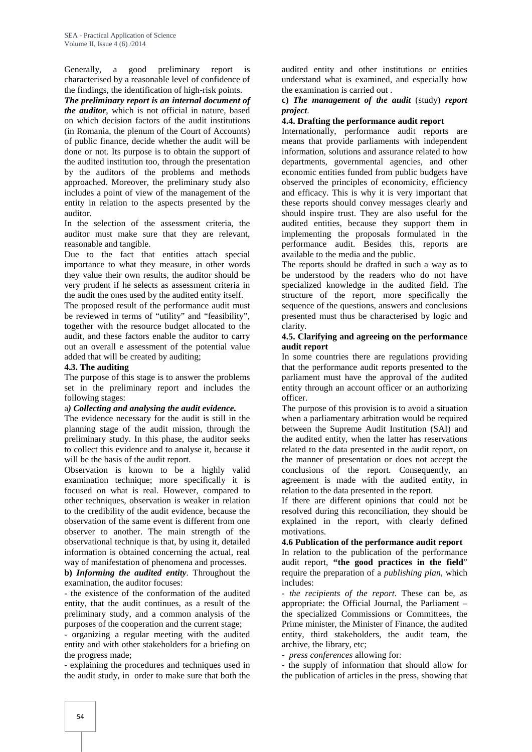Generally, a good preliminary report is characterised by a reasonable level of confidence of the findings, the identification of high-risk points.

*The preliminary report is an internal document of the auditor*, which is not official in nature, based on which decision factors of the audit institutions (in Romania, the plenum of the Court of Accounts) of public finance, decide whether the audit will be done or not. Its purpose is to obtain the support of the audited institution too, through the presentation by the auditors of the problems and methods approached. Moreover, the preliminary study also includes a point of view of the management of the entity in relation to the aspects presented by the auditor.

In the selection of the assessment criteria, the auditor must make sure that they are relevant, reasonable and tangible.

Due to the fact that entities attach special importance to what they measure, in other words they value their own results, the auditor should be very prudent if he selects as assessment criteria in the audit the ones used by the audited entity itself.

The proposed result of the performance audit must be reviewed in terms of "utility" and "feasibility", together with the resource budget allocated to the audit, and these factors enable the auditor to carry out an overall e assessment of the potential value added that will be created by auditing;

## **4.3. The auditing**

The purpose of this stage is to answer the problems set in the preliminary report and includes the following stages:

## a*) Collecting and analysing the audit evidence.*

The evidence necessary for the audit is still in the planning stage of the audit mission, through the preliminary study. In this phase, the auditor seeks to collect this evidence and to analyse it, because it will be the basis of the audit report.

Observation is known to be a highly valid examination technique; more specifically it is focused on what is real. However, compared to other techniques, observation is weaker in relation to the credibility of the audit evidence, because the observation of the same event is different from one observer to another. The main strength of the observational technique is that, by using it, detailed information is obtained concerning the actual, real way of manifestation of phenomena and processes.

**b)** *Informing the audited entity*. Throughout the examination, the auditor focuses:

- the existence of the conformation of the audited entity, that the audit continues, as a result of the preliminary study, and a common analysis of the purposes of the cooperation and the current stage;

- organizing a regular meeting with the audited entity and with other stakeholders for a briefing on the progress made;

- explaining the procedures and techniques used in the audit study, in order to make sure that both the

audited entity and other institutions or entities understand what is examined, and especially how the examination is carried out .

#### **c)** *The management of the audit* (study) *report project*.

## **4.4. Drafting the performance audit report**

Internationally, performance audit reports are means that provide parliaments with independent information, solutions and assurance related to how departments, governmental agencies, and other economic entities funded from public budgets have observed the principles of economicity, efficiency and efficacy. This is why it is very important that these reports should convey messages clearly and should inspire trust. They are also useful for the audited entities, because they support them in implementing the proposals formulated in the performance audit. Besides this, reports are available to the media and the public.

The reports should be drafted in such a way as to be understood by the readers who do not have specialized knowledge in the audited field. The structure of the report, more specifically the sequence of the questions, answers and conclusions presented must thus be characterised by logic and clarity.

#### **4.5. Clarifying and agreeing on the performance audit report**

In some countries there are regulations providing that the performance audit reports presented to the parliament must have the approval of the audited entity through an account officer or an authorizing officer.

The purpose of this provision is to avoid a situation when a parliamentary arbitration would be required between the Supreme Audit Institution (SAI) and the audited entity, when the latter has reservations related to the data presented in the audit report, on the manner of presentation or does not accept the conclusions of the report. Consequently, an agreement is made with the audited entity, in relation to the data presented in the report.

If there are different opinions that could not be resolved during this reconciliation, they should be explained in the report, with clearly defined motivations.

## **4.6 Publication of the performance audit report**

In relation to the publication of the performance audit report, **"the good practices in the field**" require the preparation of a *publishing plan*, which includes:

- *the recipients of the report*. These can be, as appropriate: the Official Journal, the Parliament – the specialized Commissions or Committees, the Prime minister, the Minister of Finance, the audited entity, third stakeholders, the audit team, the archive, the library, etc;

- *press conferences* allowing for*:*

- the supply of information that should allow for the publication of articles in the press, showing that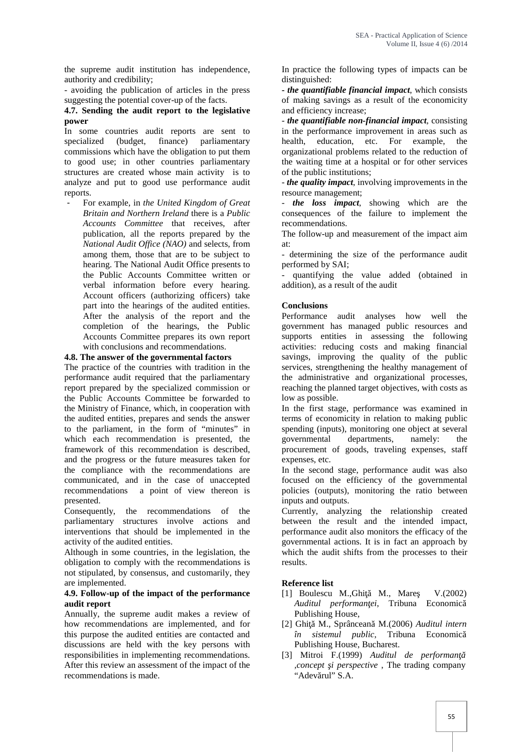the supreme audit institution has independence, authority and credibility;

- avoiding the publication of articles in the press suggesting the potential cover-up of the facts.

## **4.7. Sending the audit report to the legislative power**

In some countries audit reports are sent to in the p specialized (budget, finance) parliamentary health. parliamentary commissions which have the obligation to put them to good use; in other countries parliamentary structures are created whose main activity is to analyze and put to good use performance audit reports.

- For example, in *the United Kingdom of Great Britain and Northern Ireland* there is a *Public Accounts Committee* that receives, after publication, all the reports prepared by the *National Audit Office (NAO)* and selects, from among them, those that are to be subject to hearing. The National Audit Office presents to the Public Accounts Committee written or verbal information before every hearing. Account officers (authorizing officers) take part into the hearings of the audited entities. After the analysis of the report and the completion of the hearings, the Public Accounts Committee prepares its own report with conclusions and recommendations.

## **4.8. The answer of the governmental factors**

The practice of the countries with tradition in the performance audit required that the parliamentary report prepared by the specialized commission or the Public Accounts Committee be forwarded to the Ministry of Finance, which, in cooperation with the audited entities, prepares and sends the answer to the parliament, in the form of "minutes" in which each recommendation is presented, the framework of this recommendation is described, and the progress or the future measures taken for the compliance with the recommendations are communicated, and in the case of unaccepted recommendations a point of view thereon is presented.

Consequently, the recommendations of the parliamentary structures involve actions and interventions that should be implemented in the activity of the audited entities.

Although in some countries, in the legislation, the obligation to comply with the recommendations is not stipulated, by consensus, and customarily, they are implemented.

#### **4.9. Follow-up of the impact of the performance audit report**

Annually, the supreme audit makes a review of how recommendations are implemented, and for this purpose the audited entities are contacted and discussions are held with the key persons with responsibilities in implementing recommendations. After this review an assessment of the impact of the recommendations is made.

In practice the following types of impacts can be distinguished:

**-** *the quantifiable financial impact*, which consists of making savings as a result of the economicity and efficiency increase;

- *the quantifiable non-financial impact*, consisting in the performance improvement in areas such as education, etc. For example, the organizational problems related to the reduction of the waiting time at a hospital or for other services of the public institutions;

- *the quality impact*, involving improvements in the resource management;

- *the loss impact*, showing which are the consequences of the failure to implement the recommendations.

The follow-up and measurement of the impact aim at:

- determining the size of the performance audit performed by SAI;

- quantifying the value added (obtained in addition), as a result of the audit

# **Conclusions**

Performance audit analyses how well the government has managed public resources and supports entities in assessing the following activities: reducing costs and making financial savings, improving the quality of the public services, strengthening the healthy management of the administrative and organizational processes, reaching the planned target objectives, with costs as low as possible.

In the first stage, performance was examined in terms of economicity in relation to making public spending (inputs), monitoring one object at several governmental departments, namely: the procurement of goods, traveling expenses, staff expenses, etc.

In the second stage, performance audit was also focused on the efficiency of the governmental policies (outputs), monitoring the ratio between inputs and outputs.

Currently, analyzing the relationship created between the result and the intended impact, performance audit also monitors the efficacy of the governmental actions. It is in fact an approach by which the audit shifts from the processes to their results.

# **Reference list**

- [1] Boulescu M.,Ghi M., Mare V. $(2002)$ *Auditul performan ei*, Tribuna Economic Publishing House,
- [2] Ghi M., Sprâncean M.(2006) *Auditul intern în sistemul public*, Tribuna Economică Publishing House, Bucharest.
- [3] Mitroi F.(1999) Auditul de performan *,concept i perspective*, The trading company "Adev rul" S.A.